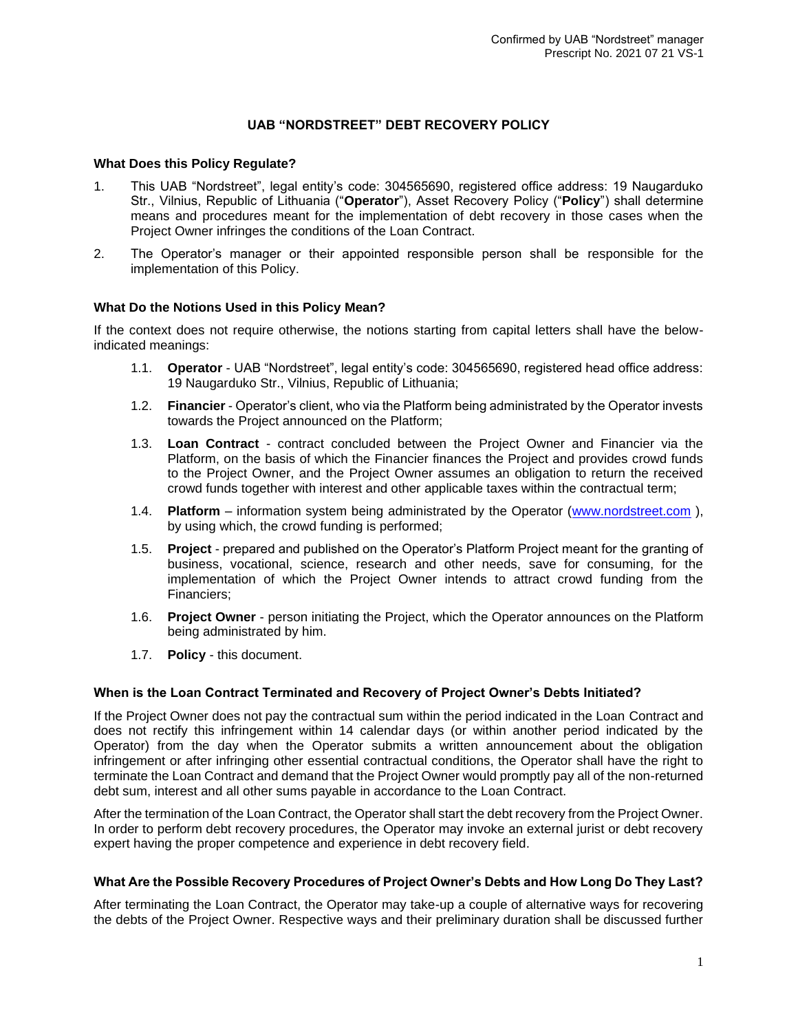# **UAB "NORDSTREET" DEBT RECOVERY POLICY**

#### **What Does this Policy Regulate?**

- 1. This UAB "Nordstreet", legal entity's code: 304565690, registered office address: 19 Naugarduko Str., Vilnius, Republic of Lithuania ("**Operator**"), Asset Recovery Policy ("**Policy**") shall determine means and procedures meant for the implementation of debt recovery in those cases when the Project Owner infringes the conditions of the Loan Contract.
- 2. The Operator's manager or their appointed responsible person shall be responsible for the implementation of this Policy.

#### **What Do the Notions Used in this Policy Mean?**

If the context does not require otherwise, the notions starting from capital letters shall have the belowindicated meanings:

- 1.1. **Operator** UAB "Nordstreet", legal entity's code: 304565690, registered head office address: 19 Naugarduko Str., Vilnius, Republic of Lithuania;
- 1.2. **Financier** Operator's client, who via the Platform being administrated by the Operator invests towards the Project announced on the Platform;
- 1.3. **Loan Contract** contract concluded between the Project Owner and Financier via the Platform, on the basis of which the Financier finances the Project and provides crowd funds to the Project Owner, and the Project Owner assumes an obligation to return the received crowd funds together with interest and other applicable taxes within the contractual term;
- 1.4. **Platform**  information system being administrated by the Operator [\(www.nordstreet.com](http://www.nordstreet.com/) ), by using which, the crowd funding is performed;
- 1.5. **Project** prepared and published on the Operator's Platform Project meant for the granting of business, vocational, science, research and other needs, save for consuming, for the implementation of which the Project Owner intends to attract crowd funding from the Financiers;
- 1.6. **Project Owner** person initiating the Project, which the Operator announces on the Platform being administrated by him.
- 1.7. **Policy** this document.

#### **When is the Loan Contract Terminated and Recovery of Project Owner's Debts Initiated?**

If the Project Owner does not pay the contractual sum within the period indicated in the Loan Contract and does not rectify this infringement within 14 calendar days (or within another period indicated by the Operator) from the day when the Operator submits a written announcement about the obligation infringement or after infringing other essential contractual conditions, the Operator shall have the right to terminate the Loan Contract and demand that the Project Owner would promptly pay all of the non-returned debt sum, interest and all other sums payable in accordance to the Loan Contract.

After the termination of the Loan Contract, the Operator shall start the debt recovery from the Project Owner. In order to perform debt recovery procedures, the Operator may invoke an external jurist or debt recovery expert having the proper competence and experience in debt recovery field.

#### **What Are the Possible Recovery Procedures of Project Owner's Debts and How Long Do They Last?**

After terminating the Loan Contract, the Operator may take-up a couple of alternative ways for recovering the debts of the Project Owner. Respective ways and their preliminary duration shall be discussed further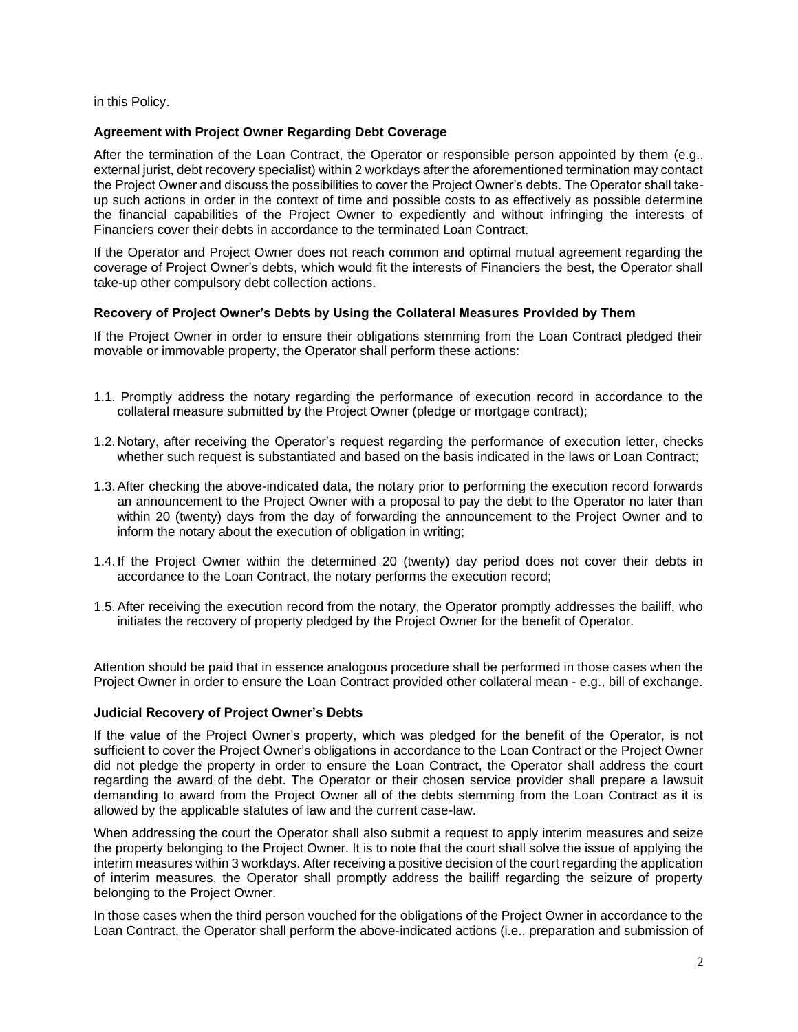in this Policy.

### **Agreement with Project Owner Regarding Debt Coverage**

After the termination of the Loan Contract, the Operator or responsible person appointed by them (e.g., external jurist, debt recovery specialist) within 2 workdays after the aforementioned termination may contact the Project Owner and discuss the possibilities to cover the Project Owner's debts. The Operator shall takeup such actions in order in the context of time and possible costs to as effectively as possible determine the financial capabilities of the Project Owner to expediently and without infringing the interests of Financiers cover their debts in accordance to the terminated Loan Contract.

If the Operator and Project Owner does not reach common and optimal mutual agreement regarding the coverage of Project Owner's debts, which would fit the interests of Financiers the best, the Operator shall take-up other compulsory debt collection actions.

# **Recovery of Project Owner's Debts by Using the Collateral Measures Provided by Them**

If the Project Owner in order to ensure their obligations stemming from the Loan Contract pledged their movable or immovable property, the Operator shall perform these actions:

- 1.1. Promptly address the notary regarding the performance of execution record in accordance to the collateral measure submitted by the Project Owner (pledge or mortgage contract);
- 1.2. Notary, after receiving the Operator's request regarding the performance of execution letter, checks whether such request is substantiated and based on the basis indicated in the laws or Loan Contract;
- 1.3.After checking the above-indicated data, the notary prior to performing the execution record forwards an announcement to the Project Owner with a proposal to pay the debt to the Operator no later than within 20 (twenty) days from the day of forwarding the announcement to the Project Owner and to inform the notary about the execution of obligation in writing;
- 1.4. If the Project Owner within the determined 20 (twenty) day period does not cover their debts in accordance to the Loan Contract, the notary performs the execution record;
- 1.5.After receiving the execution record from the notary, the Operator promptly addresses the bailiff, who initiates the recovery of property pledged by the Project Owner for the benefit of Operator.

Attention should be paid that in essence analogous procedure shall be performed in those cases when the Project Owner in order to ensure the Loan Contract provided other collateral mean - e.g., bill of exchange.

#### **Judicial Recovery of Project Owner's Debts**

If the value of the Project Owner's property, which was pledged for the benefit of the Operator, is not sufficient to cover the Project Owner's obligations in accordance to the Loan Contract or the Project Owner did not pledge the property in order to ensure the Loan Contract, the Operator shall address the court regarding the award of the debt. The Operator or their chosen service provider shall prepare a lawsuit demanding to award from the Project Owner all of the debts stemming from the Loan Contract as it is allowed by the applicable statutes of law and the current case-law.

When addressing the court the Operator shall also submit a request to apply interim measures and seize the property belonging to the Project Owner. It is to note that the court shall solve the issue of applying the interim measures within 3 workdays. After receiving a positive decision of the court regarding the application of interim measures, the Operator shall promptly address the bailiff regarding the seizure of property belonging to the Project Owner.

In those cases when the third person vouched for the obligations of the Project Owner in accordance to the Loan Contract, the Operator shall perform the above-indicated actions (i.e., preparation and submission of